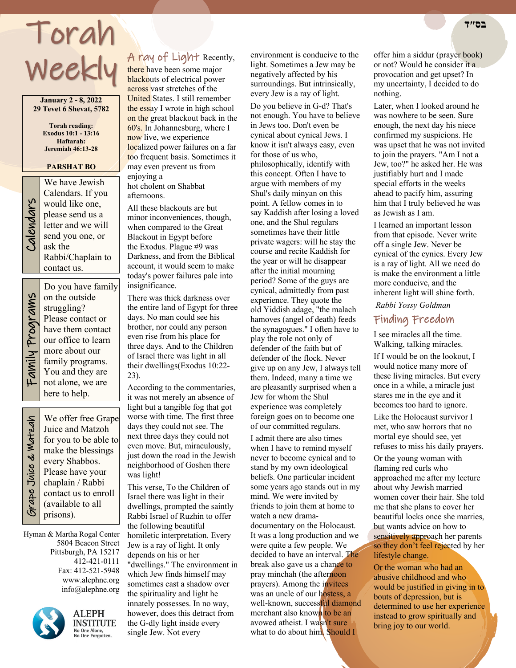# Torah Weekly

**January 2 - 8, 2022 29 Tevet 6 Shevat, 5782**

> **Torah reading: Exodus 10:1 - 13:16 Haftarah: Jeremiah 46:13-28**

#### **PARSHAT BO**

We have Jewish<br>Calendars. If you<br>would like one,<br>please send us a<br>letter and we will<br>send you one, or<br>ask the Calendars. If you would like one, please send us a letter and we will send you one, or ask the Rabbi/Chaplain to contact us.

Family Programs Family Programs

Do you have family on the outside struggling? Please contact or have them contact our office to learn more about our family programs. You and they are not alone, we are here to help.

 Grape Juice & Matzah Srape Juice & Watzah

We offer free Grape Juice and Matzoh for you to be able to make the blessings every Shabbos. Please have your chaplain / Rabbi contact us to enroll (available to all prisons).

Hyman & Martha Rogal Center 5804 Beacon Street Pittsburgh, PA 15217 412-421-0111 Fax: 412-521-5948 www.alephne.org info@alephne.org



**ALEPH INSTITUTE** No One Alone,<br>No One Alone,<br>No One Forgotten.

# A ray of Light Recently,

there have been some major blackouts of electrical power across vast stretches of the United States. I still remember the essay I wrote in high school on the great blackout back in the 60's. In Johannesburg, where I now live, we experience localized power failures on a far too frequent basis. Sometimes it may even prevent us from enjoying a

hot cholent on Shabbat afternoons.

All these blackouts are but minor inconveniences, though, when compared to the Great Blackout in Egypt before the Exodus. Plague #9 was Darkness, and from the Biblical account, it would seem to make today's power failures pale into insignificance.

There was thick darkness over the entire land of Egypt for three days. No man could see his brother, nor could any person even rise from his place for three days. And to the Children of Israel there was light in all their dwellings(Exodus 10:22- 23).

According to the commentaries, it was not merely an absence of light but a tangible fog that got worse with time. The first three days they could not see. The next three days they could not even move. But, miraculously, just down the road in the Jewish neighborhood of Goshen there was light!

This verse, To the Children of Israel there was light in their dwellings, prompted the saintly Rabbi Israel of Ruzhin to offer the following beautiful homiletic interpretation. Every Jew is a ray of light. It only depends on his or her "dwellings." The environment in which Jew finds himself may sometimes cast a shadow over the spirituality and light he innately possesses. In no way, however, does this detract from the G-dly light inside every single Jew. Not every

environment is conducive to the light. Sometimes a Jew may be negatively affected by his surroundings. But intrinsically, every Jew is a ray of light.

Do you believe in G-d? That's not enough. You have to believe in Jews too. Don't even be cynical about cynical Jews. I know it isn't always easy, even for those of us who, philosophically, identify with this concept. Often I have to argue with members of my Shul's daily minyan on this point. A fellow comes in to say Kaddish after losing a loved one, and the Shul regulars sometimes have their little private wagers: will he stay the course and recite Kaddish for the year or will he disappear after the initial mourning period? Some of the guys are cynical, admittedly from past experience. They quote the old Yiddish adage, "the malach hamoves (angel of death) feeds the synagogues." I often have to play the role not only of defender of the faith but of defender of the flock. Never give up on any Jew, I always tell them. Indeed, many a time we are pleasantly surprised when a Jew for whom the Shul experience was completely foreign goes on to become one of our committed regulars.

I admit there are also times when I have to remind myself never to become cynical and to stand by my own ideological beliefs. One particular incident some years ago stands out in my mind. We were invited by friends to join them at home to watch a new dramadocumentary on the Holocaust. It was a long production and we were quite a few people. We decided to have an interval. The break also gave us a chance to pray minchah (the afternoon prayers). Among the invitees was an uncle of our hostess, a well-known, successful diamond merchant also known to be an avowed atheist. I wasn't sure what to do about him. Should I

offer him a siddur (prayer book) or not? Would he consider it a provocation and get upset? In my uncertainty, I decided to do nothing.

Later, when I looked around he was nowhere to be seen. Sure enough, the next day his niece confirmed my suspicions. He was upset that he was not invited to join the prayers. "Am I not a Jew, too?" he asked her. He was justifiably hurt and I made special efforts in the weeks ahead to pacify him, assuring him that I truly believed he was as Jewish as I am.

I learned an important lesson from that episode. Never write off a single Jew. Never be cynical of the cynics. Every Jew is a ray of light. All we need do is make the environment a little more conducive, and the inherent light will shine forth.

*Rabbi Yossy Goldman*

# Finding Freedom

I see miracles all the time. Walking, talking miracles.

If I would be on the lookout, I would notice many more of these living miracles. But every once in a while, a miracle just stares me in the eye and it becomes too hard to ignore.

Like the Holocaust survivor I met, who saw horrors that no mortal eye should see, yet refuses to miss his daily prayers.

Or the young woman with flaming red curls who approached me after my lecture about why Jewish married women cover their hair. She told me that she plans to cover her beautiful locks once she marries, but wants advice on how to sensitively approach her parents so they don't feel rejected by her lifestyle change.

Or the woman who had an abusive childhood and who would be justified in giving in to bouts of depression, but is determined to use her experience instead to grow spiritually and bring joy to our world.